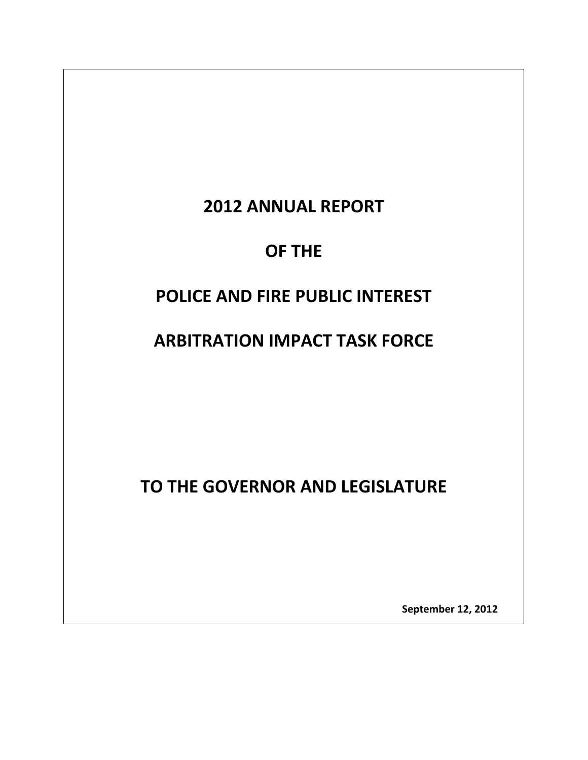# **2012 ANNUAL REPORT**

# **OF THE**

# **POLICE AND FIRE PUBLIC INTEREST**

# **ARBITRATION IMPACT TASK FORCE**

**TO THE GOVERNOR AND LEGISLATURE**

 **September 12, <sup>2012</sup>**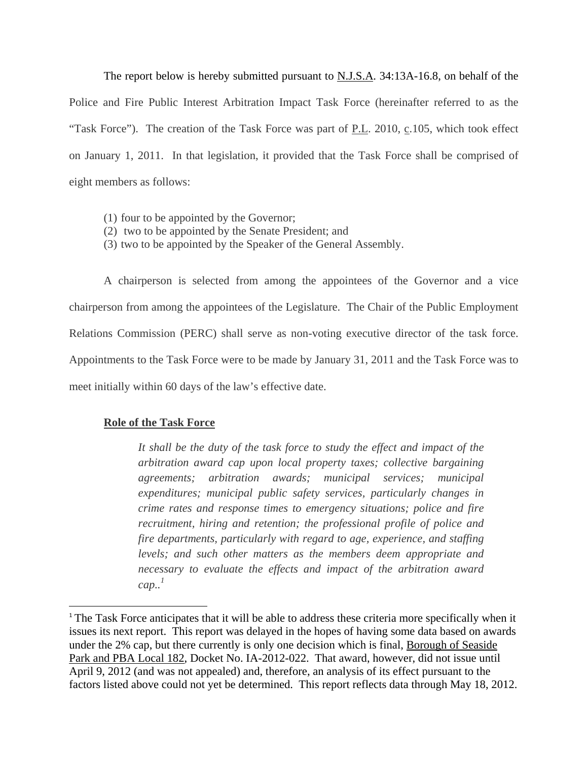The report below is hereby submitted pursuant to **N.J.S.A.** 34:13A-16.8, on behalf of the Police and Fire Public Interest Arbitration Impact Task Force (hereinafter referred to as the "Task Force"). The creation of the Task Force was part of P.L. 2010, c.105, which took effect on January 1, 2011. In that legislation, it provided that the Task Force shall be comprised of eight members as follows:

- (1) four to be appointed by the Governor;
- (2) two to be appointed by the Senate President; and
- (3) two to be appointed by the Speaker of the General Assembly.

A chairperson is selected from among the appointees of the Governor and a vice chairperson from among the appointees of the Legislature. The Chair of the Public Employment Relations Commission (PERC) shall serve as non-voting executive director of the task force. Appointments to the Task Force were to be made by January 31, 2011 and the Task Force was to meet initially within 60 days of the law's effective date.

# **Role of the Task Force**

*It shall be the duty of the task force to study the effect and impact of the arbitration award cap upon local property taxes; collective bargaining agreements; arbitration awards; municipal services; municipal expenditures; municipal public safety services, particularly changes in crime rates and response times to emergency situations; police and fire recruitment, hiring and retention; the professional profile of police and fire departments, particularly with regard to age, experience, and staffing levels; and such other matters as the members deem appropriate and necessary to evaluate the effects and impact of the arbitration award cap.. 1*

<sup>&</sup>lt;sup>1</sup> The Task Force anticipates that it will be able to address these criteria more specifically when it issues its next report. This report was delayed in the hopes of having some data based on awards under the 2% cap, but there currently is only one decision which is final, Borough of Seaside Park and PBA Local 182, Docket No. IA-2012-022. That award, however, did not issue until April 9, 2012 (and was not appealed) and, therefore, an analysis of its effect pursuant to the factors listed above could not yet be determined. This report reflects data through May 18, 2012.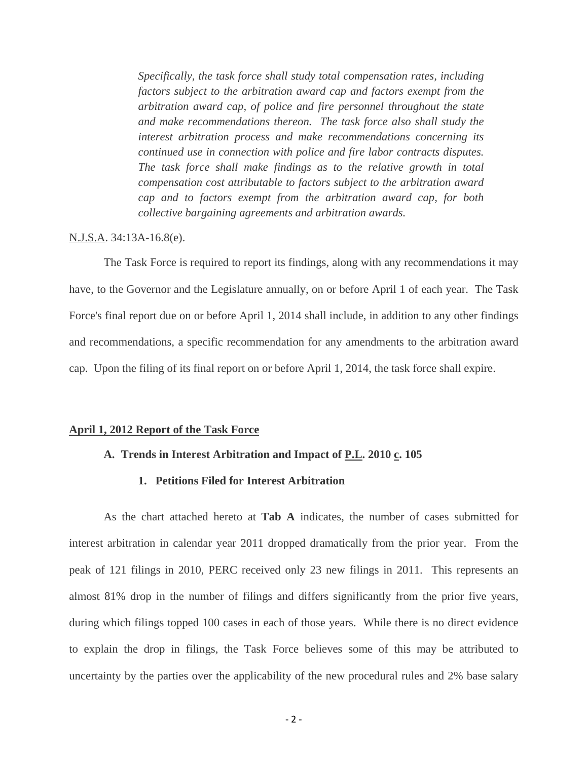*Specifically, the task force shall study total compensation rates, including factors subject to the arbitration award cap and factors exempt from the arbitration award cap, of police and fire personnel throughout the state and make recommendations thereon. The task force also shall study the interest arbitration process and make recommendations concerning its continued use in connection with police and fire labor contracts disputes. The task force shall make findings as to the relative growth in total compensation cost attributable to factors subject to the arbitration award cap and to factors exempt from the arbitration award cap, for both collective bargaining agreements and arbitration awards.*

## N.J.S.A. 34:13A-16.8(e).

The Task Force is required to report its findings, along with any recommendations it may have, to the Governor and the Legislature annually, on or before April 1 of each year. The Task Force's final report due on or before April 1, 2014 shall include, in addition to any other findings and recommendations, a specific recommendation for any amendments to the arbitration award cap. Upon the filing of its final report on or before April 1, 2014, the task force shall expire.

### **April 1, 2012 Report of the Task Force**

## A. Trends in Interest Arbitration and Impact of P.L. 2010 c. 105

# **1. Petitions Filed for Interest Arbitration**

As the chart attached hereto at **Tab A** indicates, the number of cases submitted for interest arbitration in calendar year 2011 dropped dramatically from the prior year. From the peak of 121 filings in 2010, PERC received only 23 new filings in 2011. This represents an almost 81% drop in the number of filings and differs significantly from the prior five years, during which filings topped 100 cases in each of those years. While there is no direct evidence to explain the drop in filings, the Task Force believes some of this may be attributed to uncertainty by the parties over the applicability of the new procedural rules and 2% base salary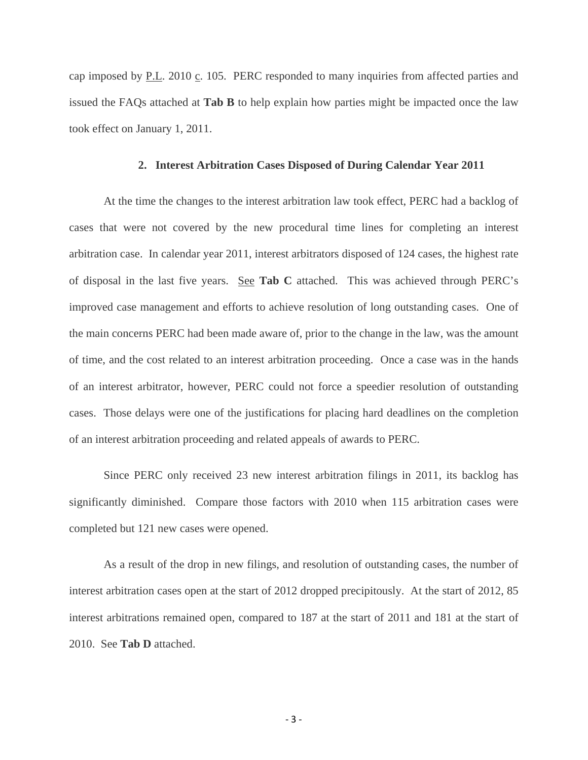cap imposed by P.L. 2010 c. 105. PERC responded to many inquiries from affected parties and issued the FAQs attached at **Tab B** to help explain how parties might be impacted once the law took effect on January 1, 2011.

## **2. Interest Arbitration Cases Disposed of During Calendar Year 2011**

At the time the changes to the interest arbitration law took effect, PERC had a backlog of cases that were not covered by the new procedural time lines for completing an interest arbitration case. In calendar year 2011, interest arbitrators disposed of 124 cases, the highest rate of disposal in the last five years. See **Tab C** attached. This was achieved through PERC's improved case management and efforts to achieve resolution of long outstanding cases. One of the main concerns PERC had been made aware of, prior to the change in the law, was the amount of time, and the cost related to an interest arbitration proceeding. Once a case was in the hands of an interest arbitrator, however, PERC could not force a speedier resolution of outstanding cases. Those delays were one of the justifications for placing hard deadlines on the completion of an interest arbitration proceeding and related appeals of awards to PERC.

Since PERC only received 23 new interest arbitration filings in 2011, its backlog has significantly diminished. Compare those factors with 2010 when 115 arbitration cases were completed but 121 new cases were opened.

As a result of the drop in new filings, and resolution of outstanding cases, the number of interest arbitration cases open at the start of 2012 dropped precipitously. At the start of 2012, 85 interest arbitrations remained open, compared to 187 at the start of 2011 and 181 at the start of 2010. See **Tab D** attached.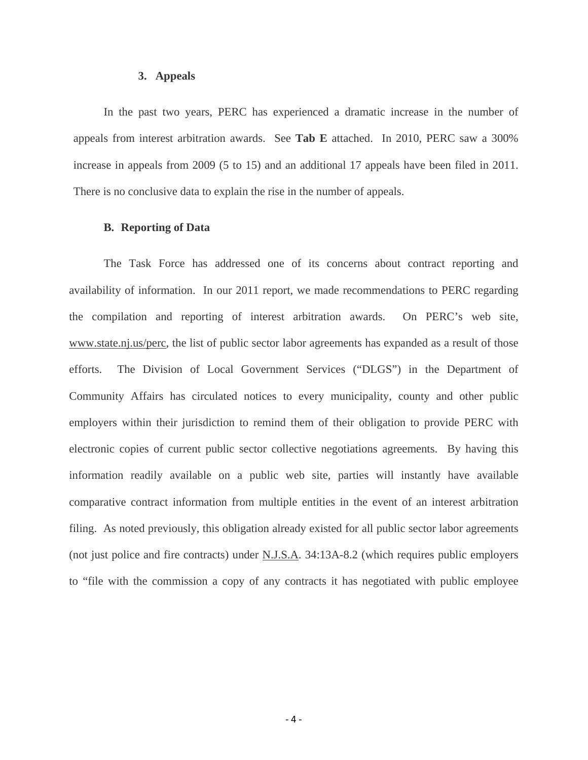### **3. Appeals**

In the past two years, PERC has experienced a dramatic increase in the number of appeals from interest arbitration awards. See **Tab E** attached. In 2010, PERC saw a 300% increase in appeals from 2009 (5 to 15) and an additional 17 appeals have been filed in 2011. There is no conclusive data to explain the rise in the number of appeals.

## **B. Reporting of Data**

The Task Force has addressed one of its concerns about contract reporting and availability of information. In our 2011 report, we made recommendations to PERC regarding the compilation and reporting of interest arbitration awards. On PERC's web site, www.state.nj.us/perc, the list of public sector labor agreements has expanded as a result of those efforts. The Division of Local Government Services ("DLGS") in the Department of Community Affairs has circulated notices to every municipality, county and other public employers within their jurisdiction to remind them of their obligation to provide PERC with electronic copies of current public sector collective negotiations agreements. By having this information readily available on a public web site, parties will instantly have available comparative contract information from multiple entities in the event of an interest arbitration filing. As noted previously, this obligation already existed for all public sector labor agreements (not just police and fire contracts) under N.J.S.A. 34:13A-8.2 (which requires public employers to "file with the commission a copy of any contracts it has negotiated with public employee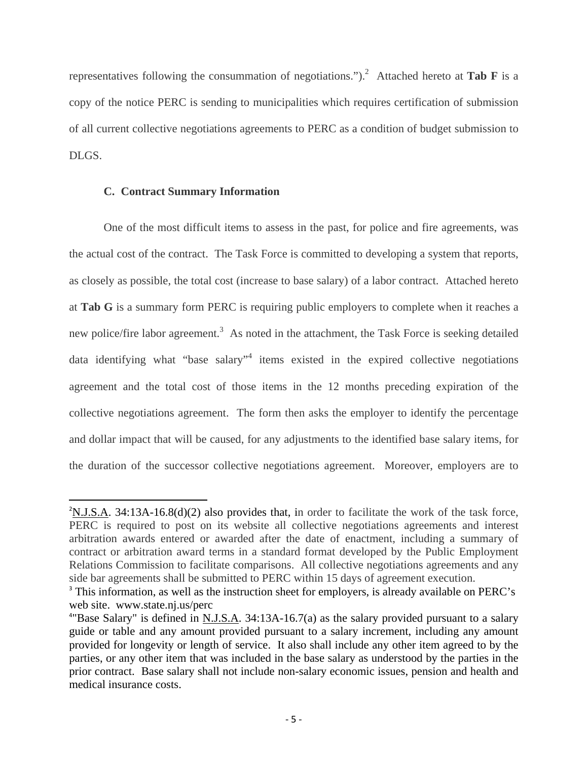representatives following the consummation of negotiations.").2 Attached hereto at **Tab F** is a copy of the notice PERC is sending to municipalities which requires certification of submission of all current collective negotiations agreements to PERC as a condition of budget submission to DLGS.

# **C. Contract Summary Information**

One of the most difficult items to assess in the past, for police and fire agreements, was the actual cost of the contract. The Task Force is committed to developing a system that reports, as closely as possible, the total cost (increase to base salary) of a labor contract. Attached hereto at **Tab G** is a summary form PERC is requiring public employers to complete when it reaches a new police/fire labor agreement.<sup>3</sup> As noted in the attachment, the Task Force is seeking detailed data identifying what "base salary"<sup>4</sup> items existed in the expired collective negotiations agreement and the total cost of those items in the 12 months preceding expiration of the collective negotiations agreement. The form then asks the employer to identify the percentage and dollar impact that will be caused, for any adjustments to the identified base salary items, for the duration of the successor collective negotiations agreement. Moreover, employers are to

 $2$ N.J.S.A. 34:13A-16.8(d)(2) also provides that, in order to facilitate the work of the task force, PERC is required to post on its website all collective negotiations agreements and interest arbitration awards entered or awarded after the date of enactment, including a summary of contract or arbitration award terms in a standard format developed by the Public Employment Relations Commission to facilitate comparisons. All collective negotiations agreements and any side bar agreements shall be submitted to PERC within 15 days of agreement execution.

<sup>&</sup>lt;sup>3</sup> This information, as well as the instruction sheet for employers, is already available on PERC's web site. www.state.nj.us/perc

<sup>&</sup>lt;sup>4"</sup>Base Salary" is defined in  $N.J.S.A. 34:13A-16.7(a)$  as the salary provided pursuant to a salary guide or table and any amount provided pursuant to a salary increment, including any amount provided for longevity or length of service. It also shall include any other item agreed to by the parties, or any other item that was included in the base salary as understood by the parties in the prior contract. Base salary shall not include non-salary economic issues, pension and health and medical insurance costs.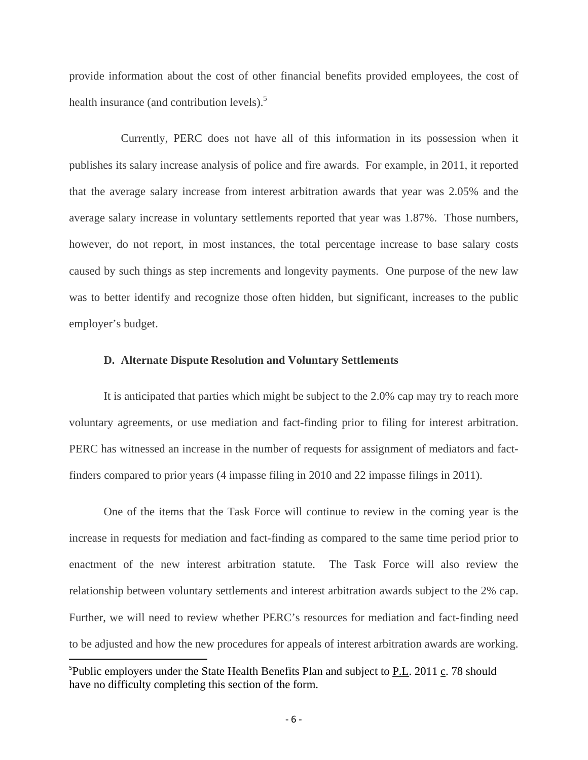provide information about the cost of other financial benefits provided employees, the cost of health insurance (and contribution levels).<sup>5</sup>

Currently, PERC does not have all of this information in its possession when it publishes its salary increase analysis of police and fire awards. For example, in 2011, it reported that the average salary increase from interest arbitration awards that year was 2.05% and the average salary increase in voluntary settlements reported that year was 1.87%. Those numbers, however, do not report, in most instances, the total percentage increase to base salary costs caused by such things as step increments and longevity payments. One purpose of the new law was to better identify and recognize those often hidden, but significant, increases to the public employer's budget.

## **D. Alternate Dispute Resolution and Voluntary Settlements**

It is anticipated that parties which might be subject to the 2.0% cap may try to reach more voluntary agreements, or use mediation and fact-finding prior to filing for interest arbitration. PERC has witnessed an increase in the number of requests for assignment of mediators and factfinders compared to prior years (4 impasse filing in 2010 and 22 impasse filings in 2011).

One of the items that the Task Force will continue to review in the coming year is the increase in requests for mediation and fact-finding as compared to the same time period prior to enactment of the new interest arbitration statute. The Task Force will also review the relationship between voluntary settlements and interest arbitration awards subject to the 2% cap. Further, we will need to review whether PERC's resources for mediation and fact-finding need to be adjusted and how the new procedures for appeals of interest arbitration awards are working.

<sup>&</sup>lt;sup>5</sup>Public employers under the State Health Benefits Plan and subject to **P.L.** 2011 c. 78 should have no difficulty completing this section of the form.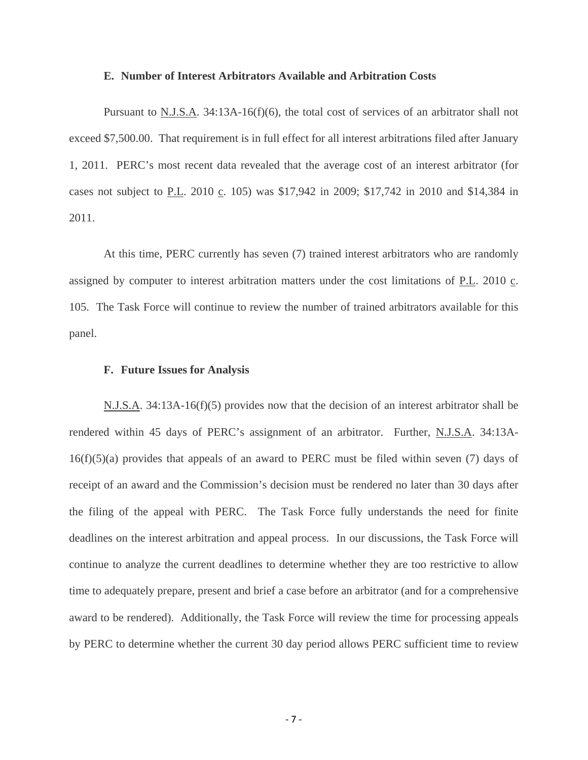### **E. Number of Interest Arbitrators Available and Arbitration Costs**

Pursuant to N.J.S.A. 34:13A-16(f)(6), the total cost of services of an arbitrator shall not exceed \$7,500.00. That requirement is in full effect for all interest arbitrations filed after January 1, 2011. PERC's most recent data revealed that the average cost of an interest arbitrator (for cases not subject to P.L. 2010 c. 105) was \$17,942 in 2009; \$17,742 in 2010 and \$14,384 in 2011.

At this time, PERC currently has seven (7) trained interest arbitrators who are randomly assigned by computer to interest arbitration matters under the cost limitations of P.L. 2010 c. 105. The Task Force will continue to review the number of trained arbitrators available for this panel.

### **F. Future Issues for Analysis**

N.J.S.A. 34:13A-16(f)(5) provides now that the decision of an interest arbitrator shall be rendered within 45 days of PERC's assignment of an arbitrator. Further, N.J.S.A. 34:13A- $16(f)(5)(a)$  provides that appeals of an award to PERC must be filed within seven (7) days of receipt of an award and the Commission's decision must be rendered no later than 30 days after the filing of the appeal with PERC. The Task Force fully understands the need for finite deadlines on the interest arbitration and appeal process. In our discussions, the Task Force will continue to analyze the current deadlines to determine whether they are too restrictive to allow time to adequately prepare, present and brief a case before an arbitrator (and for a comprehensive award to be rendered). Additionally, the Task Force will review the time for processing appeals by PERC to determine whether the current 30 day period allows PERC sufficient time to review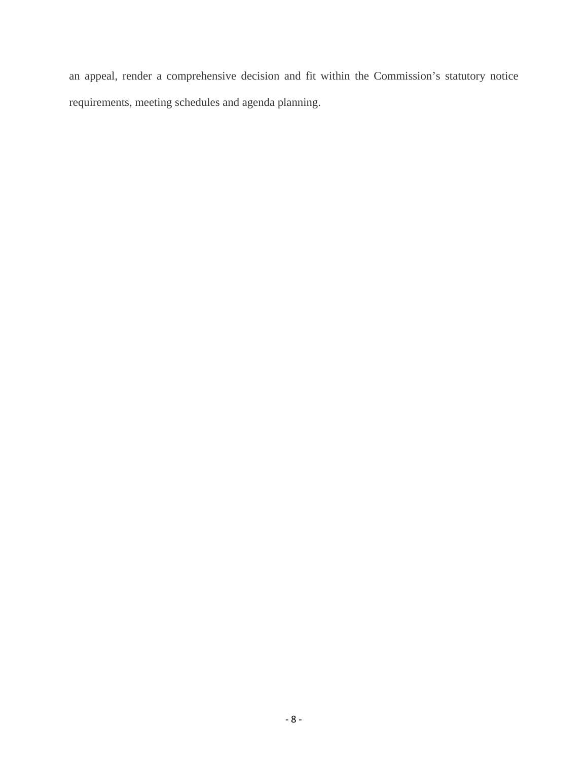an appeal, render a comprehensive decision and fit within the Commission's statutory notice requirements, meeting schedules and agenda planning.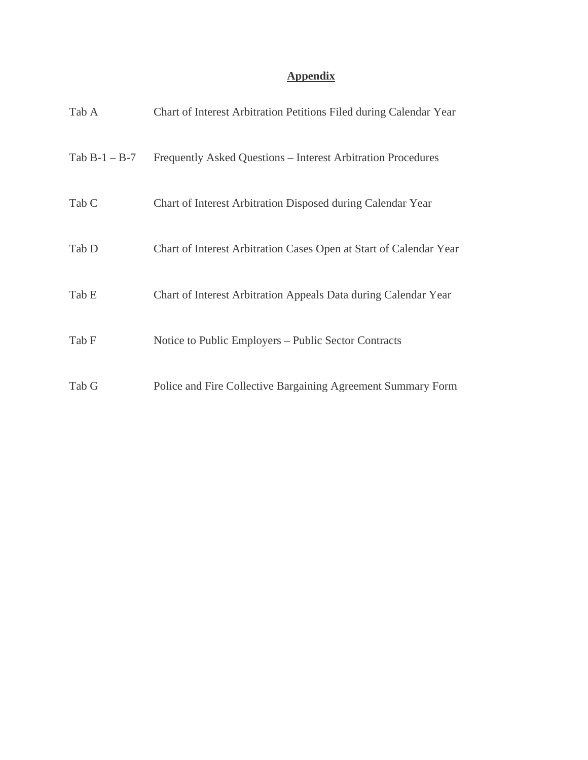# **Appendix**

| Tab A            | Chart of Interest Arbitration Petitions Filed during Calendar Year |
|------------------|--------------------------------------------------------------------|
| Tab $B-1 - B-7$  | Frequently Asked Questions – Interest Arbitration Procedures       |
| Tab <sub>C</sub> | Chart of Interest Arbitration Disposed during Calendar Year        |
| Tab D            | Chart of Interest Arbitration Cases Open at Start of Calendar Year |
| Tab E            | Chart of Interest Arbitration Appeals Data during Calendar Year    |
| Tab F            | Notice to Public Employers – Public Sector Contracts               |
| Tab G            | Police and Fire Collective Bargaining Agreement Summary Form       |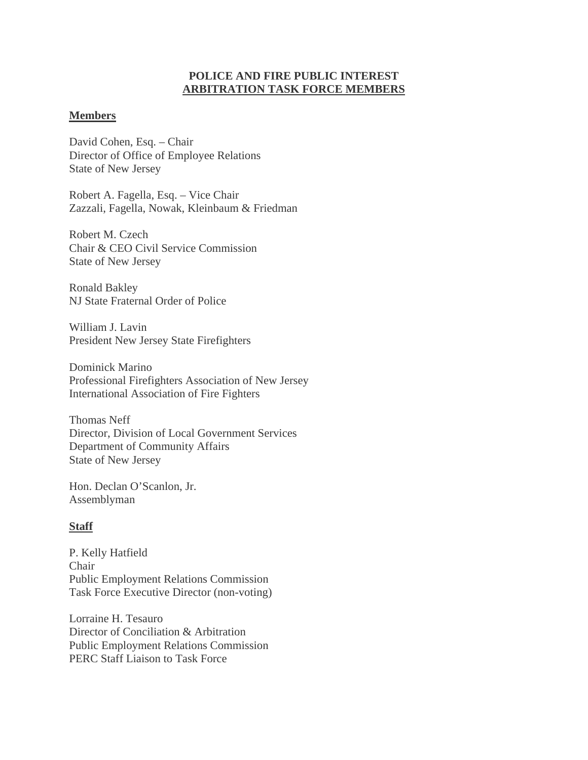# **POLICE AND FIRE PUBLIC INTEREST ARBITRATION TASK FORCE MEMBERS**

# **Members**

David Cohen, Esq. – Chair Director of Office of Employee Relations State of New Jersey

Robert A. Fagella, Esq. – Vice Chair Zazzali, Fagella, Nowak, Kleinbaum & Friedman

Robert M. Czech Chair & CEO Civil Service Commission State of New Jersey

Ronald Bakley NJ State Fraternal Order of Police

William J. Lavin President New Jersey State Firefighters

Dominick Marino Professional Firefighters Association of New Jersey International Association of Fire Fighters

Thomas Neff Director, Division of Local Government Services Department of Community Affairs State of New Jersey

Hon. Declan O'Scanlon, Jr. Assemblyman

# **Staff**

P. Kelly Hatfield Chair Public Employment Relations Commission Task Force Executive Director (non-voting)

Lorraine H. Tesauro Director of Conciliation & Arbitration Public Employment Relations Commission PERC Staff Liaison to Task Force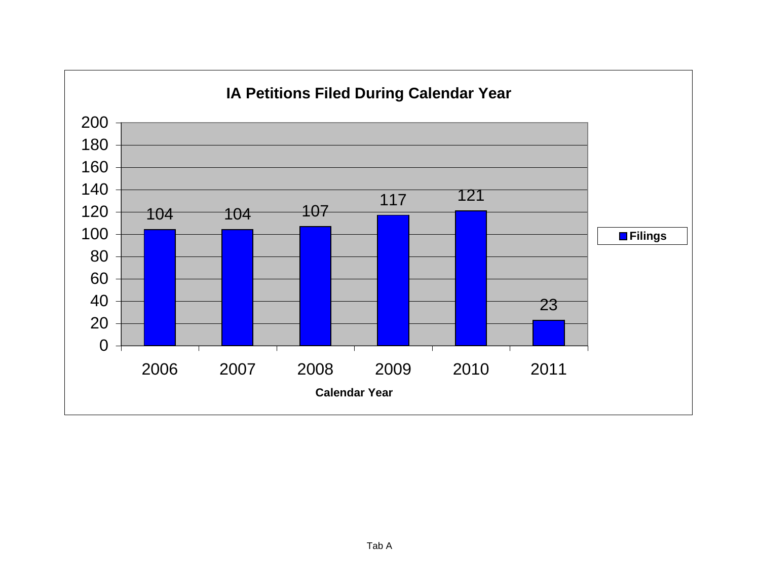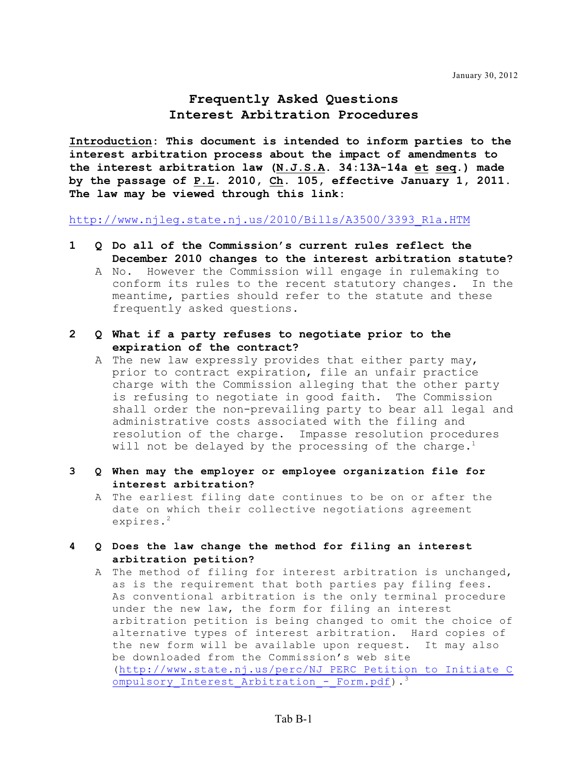# **Frequently Asked Questions Interest Arbitration Procedures**

**Introduction: This document is intended to inform parties to the interest arbitration process about the impact of amendments to the interest arbitration law (N.J.S.A. 34:13A-14a et seq.) made by the passage of P.L. 2010, Ch. 105, effective January 1, 2011. The law may be viewed through this link:**

[http://www.njleg.state.nj.us/2010/Bills/A3500/3393\\_R1a.HTM](http://www.njleg.state.nj.us/2010/Bills/A3500/3393_R1a.HTM)

- **1 Q Do all of the Commission's current rules reflect the December 2010 changes to the interest arbitration statute?**
	- A No. However the Commission will engage in rulemaking to conform its rules to the recent statutory changes. In the meantime, parties should refer to the statute and these frequently asked questions.
- **2 Q What if a party refuses to negotiate prior to the expiration of the contract?**
	- A The new law expressly provides that either party may, prior to contract expiration, file an unfair practice charge with the Commission alleging that the other party is refusing to negotiate in good faith. The Commission shall order the non-prevailing party to bear all legal and administrative costs associated with the filing and resolution of the charge. Impasse resolution procedures will not be delayed by the processing of the charge.<sup>1</sup>
- **3 Q When may the employer or employee organization file for interest arbitration?**
	- A The earliest filing date continues to be on or after the date on which their collective negotiations agreement expires. 2
- **4 Q Does the law change the method for filing an interest arbitration petition?**
	- A The method of filing for interest arbitration is unchanged, as is the requirement that both parties pay filing fees. As conventional arbitration is the only terminal procedure under the new law, the form for filing an interest arbitration petition is being changed to omit the choice of alternative types of interest arbitration. Hard copies of the new form will be available upon request. It may also be downloaded from the Commission's web site ([http://www.state.nj.us/perc/NJ\\_PERC\\_Petition\\_to\\_Initiate\\_C](http://www.state.nj.us/perc/NJ_PERC_Petition_to_Initiate_Compulsory_Interest_Arbitration_-_Form.pdf) ompulsory Interest Arbitration - Form.pdf).<sup>3</sup>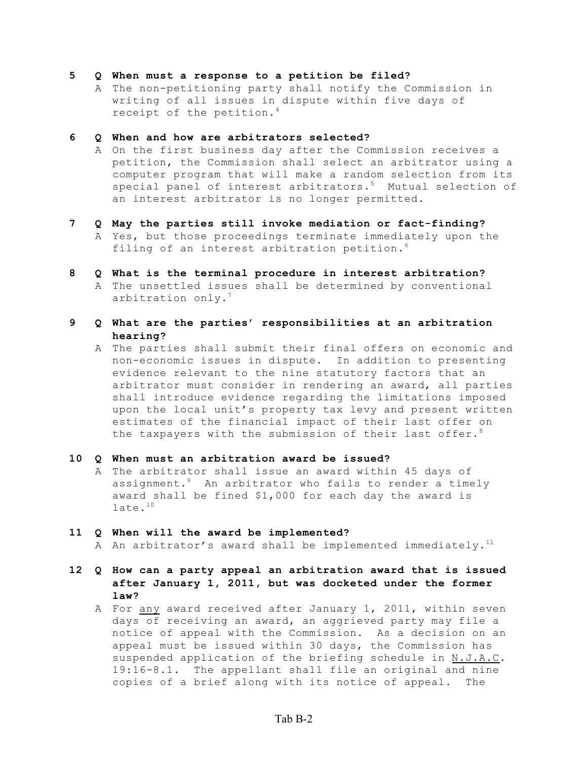#### **5 Q When must a response to a petition be filed?**

A The non-petitioning party shall notify the Commission in writing of all issues in dispute within five days of receipt of the petition. 4

#### **6 Q When and how are arbitrators selected?**

A On the first business day after the Commission receives a petition, the Commission shall select an arbitrator using a computer program that will make a random selection from its special panel of interest arbitrators.<sup>5</sup> Mutual selection of an interest arbitrator is no longer permitted.

#### **7 Q May the parties still invoke mediation or fact-finding?**

- A Yes, but those proceedings terminate immediately upon the filing of an interest arbitration petition. 6
- **8 Q What is the terminal procedure in interest arbitration?**
	- A The unsettled issues shall be determined by conventional arbitration only.<sup>7</sup>
- **9 Q What are the parties' responsibilities at an arbitration hearing?**
	- A The parties shall submit their final offers on economic and non-economic issues in dispute. In addition to presenting evidence relevant to the nine statutory factors that an arbitrator must consider in rendering an award, all parties shall introduce evidence regarding the limitations imposed upon the local unit's property tax levy and present written estimates of the financial impact of their last offer on the taxpayers with the submission of their last offer.<sup>8</sup>

#### **10 Q When must an arbitration award be issued?**

A The arbitrator shall issue an award within 45 days of assignment. $^9$  An arbitrator who fails to render a timely award shall be fined \$1,000 for each day the award is late. 10

#### **11 Q When will the award be implemented?**

A An arbitrator's award shall be implemented immediately. $^{\rm 11}$ 

- **12 Q How can a party appeal an arbitration award that is issued after January 1, 2011, but was docketed under the former law?**
	- A For any award received after January 1, 2011, within seven days of receiving an award, an aggrieved party may file a notice of appeal with the Commission. As a decision on an appeal must be issued within 30 days, the Commission has suspended application of the briefing schedule in N.J.A.C. 19:16-8.1. The appellant shall file an original and nine copies of a brief along with its notice of appeal. The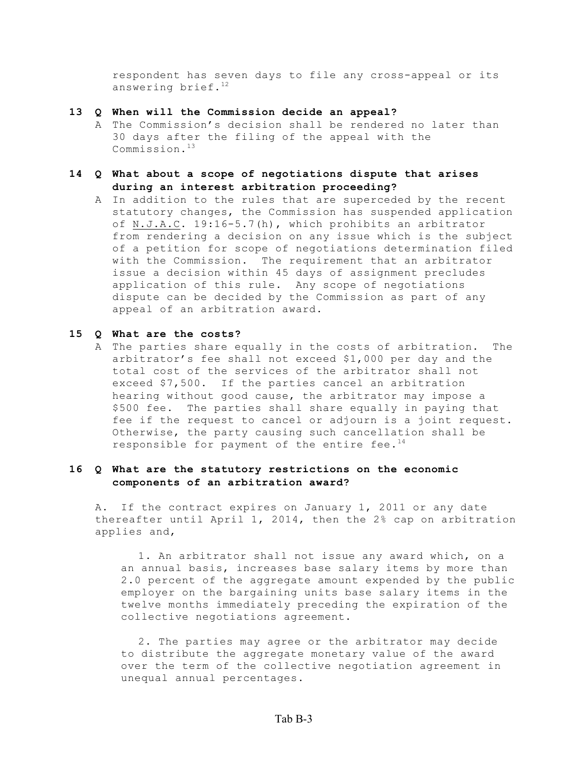respondent has seven days to file any cross-appeal or its answering brief.<sup>12</sup>

#### **13 Q When will the Commission decide an appeal?**

A The Commission's decision shall be rendered no later than 30 days after the filing of the appeal with the Commission. 13

## **14 Q What about a scope of negotiations dispute that arises during an interest arbitration proceeding?**

A In addition to the rules that are superceded by the recent statutory changes, the Commission has suspended application of N.J.A.C. 19:16-5.7(h), which prohibits an arbitrator from rendering a decision on any issue which is the subject of a petition for scope of negotiations determination filed with the Commission. The requirement that an arbitrator issue a decision within 45 days of assignment precludes application of this rule. Any scope of negotiations dispute can be decided by the Commission as part of any appeal of an arbitration award.

## **15 Q What are the costs?**

A The parties share equally in the costs of arbitration. The arbitrator's fee shall not exceed \$1,000 per day and the total cost of the services of the arbitrator shall not exceed \$7,500. If the parties cancel an arbitration hearing without good cause, the arbitrator may impose a \$500 fee. The parties shall share equally in paying that fee if the request to cancel or adjourn is a joint request. Otherwise, the party causing such cancellation shall be responsible for payment of the entire fee.<sup>14</sup>

## **16 Q What are the statutory restrictions on the economic components of an arbitration award?**

A. If the contract expires on January 1, 2011 or any date thereafter until April 1, 2014, then the 2% cap on arbitration applies and,

1. An arbitrator shall not issue any award which, on a an annual basis, increases base salary items by more than 2.0 percent of the aggregate amount expended by the public employer on the bargaining units base salary items in the twelve months immediately preceding the expiration of the collective negotiations agreement.

2. The parties may agree or the arbitrator may decide to distribute the aggregate monetary value of the award over the term of the collective negotiation agreement in unequal annual percentages.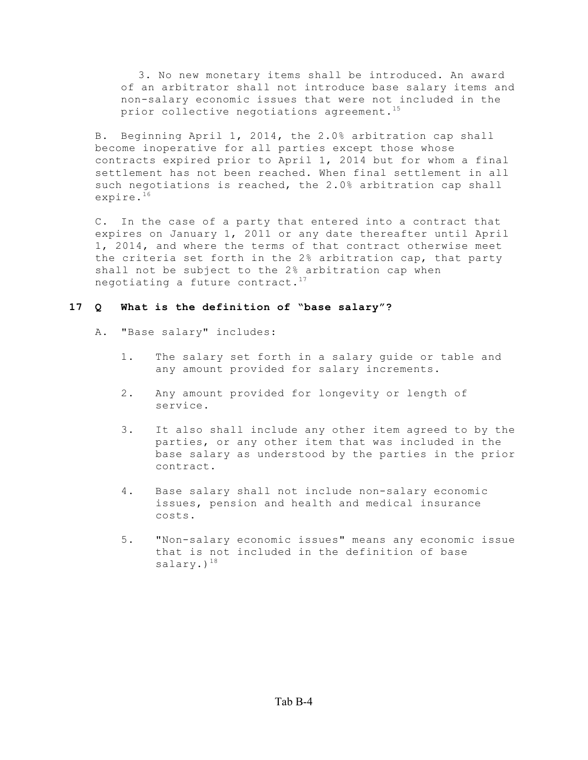3. No new monetary items shall be introduced. An award of an arbitrator shall not introduce base salary items and non-salary economic issues that were not included in the prior collective negotiations agreement. $^{15}$ 

B. Beginning April 1, 2014, the 2.0% arbitration cap shall become inoperative for all parties except those whose contracts expired prior to April 1, 2014 but for whom a final settlement has not been reached. When final settlement in all such negotiations is reached, the 2.0% arbitration cap shall expire. 16

C. In the case of a party that entered into a contract that expires on January 1, 2011 or any date thereafter until April 1, 2014, and where the terms of that contract otherwise meet the criteria set forth in the 2% arbitration cap, that party shall not be subject to the 2% arbitration cap when negotiating a future contract. $^{17}$ 

#### **17 Q What is the definition of "base salary"?**

- A. "Base salary" includes:
	- 1. The salary set forth in a salary guide or table and any amount provided for salary increments.
	- 2. Any amount provided for longevity or length of service.
	- 3. It also shall include any other item agreed to by the parties, or any other item that was included in the base salary as understood by the parties in the prior contract.
	- 4. Base salary shall not include non-salary economic issues, pension and health and medical insurance costs.
	- 5. "Non-salary economic issues" means any economic issue that is not included in the definition of base salary.)<sup>18</sup>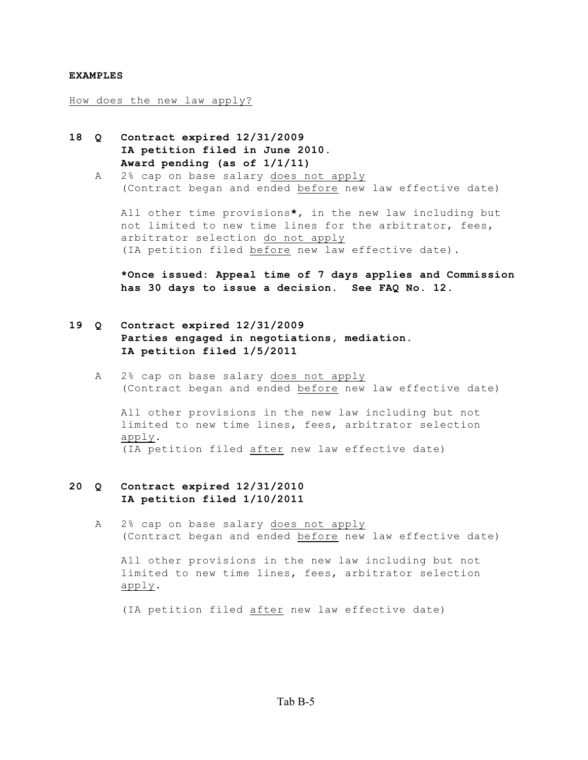#### **EXAMPLES**

How does the new law apply?

- **18 Q Contract expired 12/31/2009 IA petition filed in June 2010. Award pending (as of 1/1/11)**
	- A 2% cap on base salary does not apply (Contract began and ended before new law effective date)

All other time provisions**\***, in the new law including but not limited to new time lines for the arbitrator, fees, arbitrator selection do not apply (IA petition filed before new law effective date).

**\*Once issued: Appeal time of 7 days applies and Commission has 30 days to issue a decision. See FAQ No. 12.**

# **19 Q Contract expired 12/31/2009 Parties engaged in negotiations, mediation. IA petition filed 1/5/2011**

A 2% cap on base salary does not apply (Contract began and ended before new law effective date)

All other provisions in the new law including but not limited to new time lines, fees, arbitrator selection apply. (IA petition filed after new law effective date)

## **20 Q Contract expired 12/31/2010 IA petition filed 1/10/2011**

A 2% cap on base salary does not apply (Contract began and ended before new law effective date)

All other provisions in the new law including but not limited to new time lines, fees, arbitrator selection apply.

(IA petition filed after new law effective date)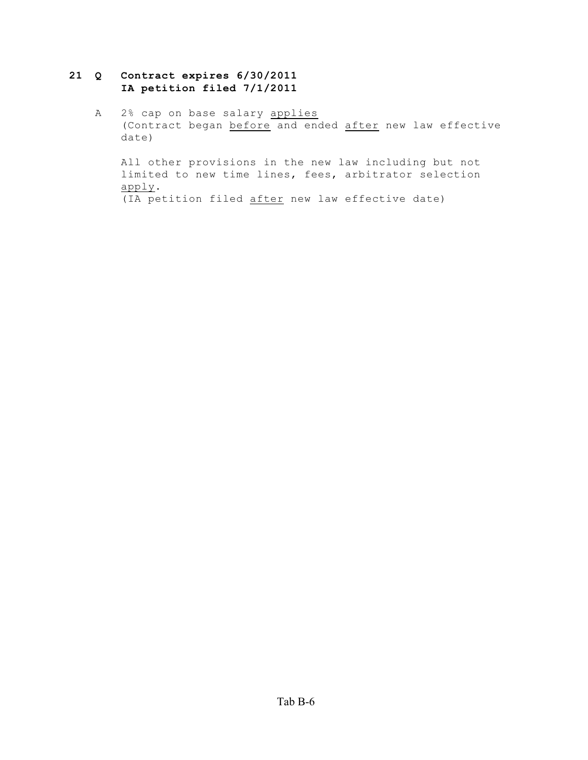# **21 Q Contract expires 6/30/2011 IA petition filed 7/1/2011**

A 2% cap on base salary applies (Contract began before and ended after new law effective date)

All other provisions in the new law including but not limited to new time lines, fees, arbitrator selection apply. (IA petition filed after new law effective date)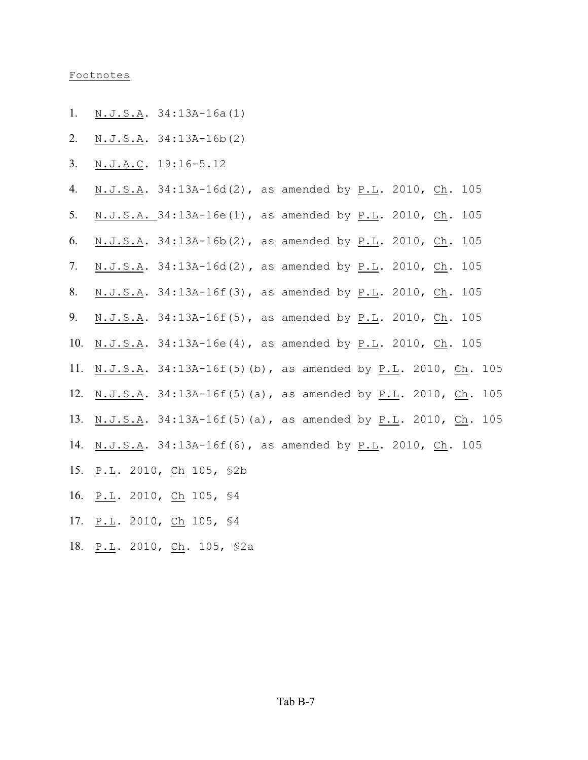#### Footnotes

- 1. N.J.S.A. 34:13A-16a(1)
- 2. N.J.S.A. 34:13A-16b(2)
- 3. N.J.A.C. 19:16-5.12
- 4. N.J.S.A. 34:13A-16d(2), as amended by P.L. 2010, Ch. 105
- 5. N.J.S.A. 34:13A-16e(1), as amended by P.L. 2010, Ch. 105
- 6. N.J.S.A. 34:13A-16b(2), as amended by P.L. 2010, Ch. 105
- 7. N.J.S.A. 34:13A-16d(2)**,** as amended by P.L. 2010, Ch. 105
- 8. N.J.S.A. 34:13A-16f(3), as amended by P.L. 2010, Ch. 105
- 9. N.J.S.A. 34:13A-16f(5), as amended by P.L. 2010, Ch. 105
- 10. N.J.S.A. 34:13A-16e(4), as amended by P.L. 2010, Ch. 105
- 11. N.J.S.A. 34:13A-16f(5)(b), as amended by P.L. 2010, Ch. 105
- 12. N.J.S.A. 34:13A-16f(5)(a), as amended by P.L. 2010, Ch. 105
- 13. N.J.S.A. 34:13A-16f(5)(a), as amended by P.L. 2010, Ch. 105
- 14. N.J.S.A. 34:13A-16f(6), as amended by P.L. 2010, Ch. 105
- 15. P.L. 2010, Ch 105, §2b
- 16. P.L. 2010, Ch 105, §4
- 17. P.L. 2010, Ch 105, \$4
- 18. P.L. 2010, Ch. 105, §2a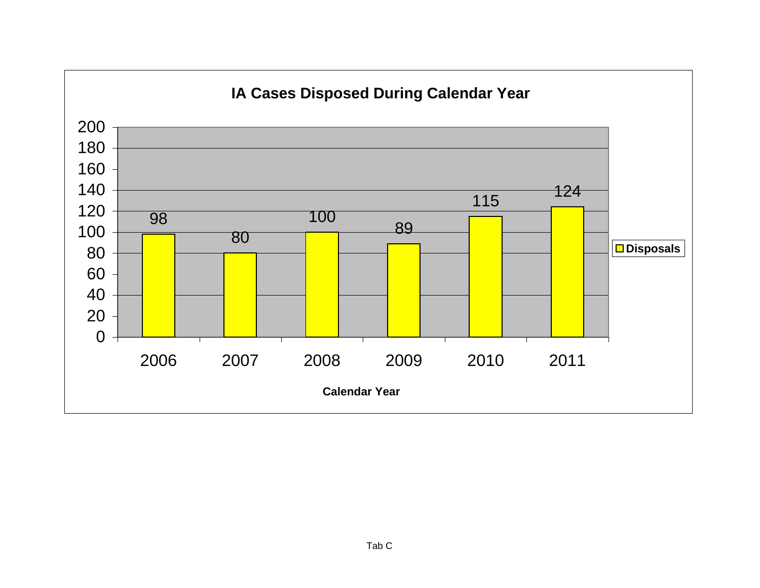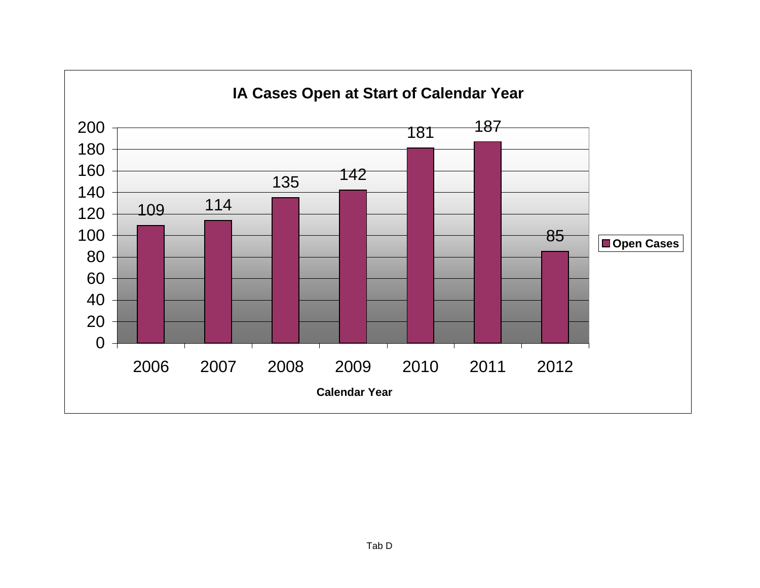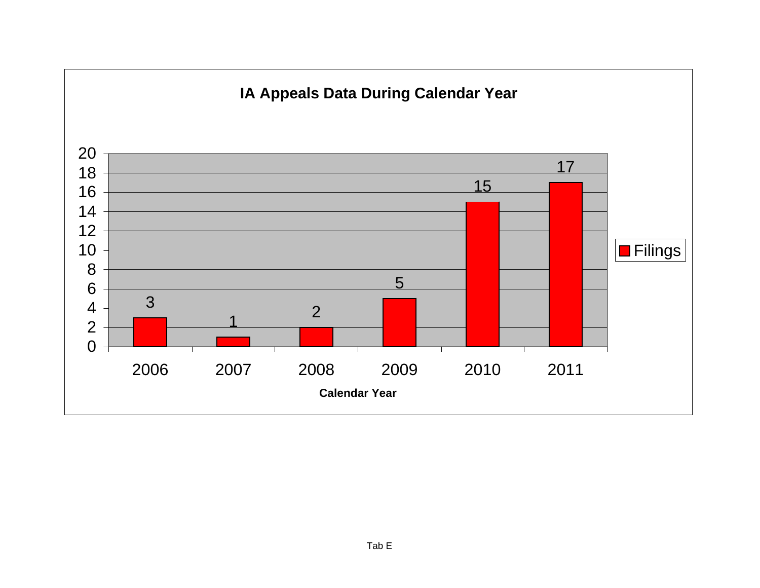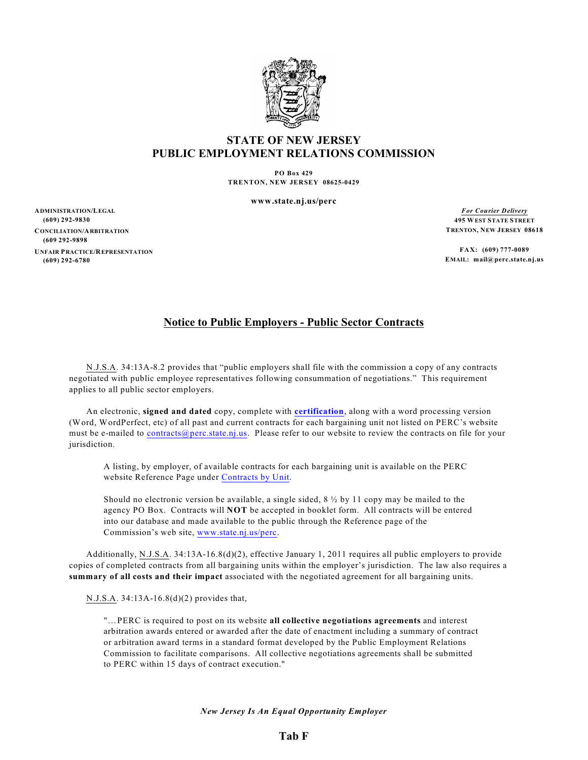

# **STATE OF NEW JERSEY PUBLIC EMPLOYMENT RELATIONS COMMISSION**

**PO Box 429 TRENTON, NEW JERSEY 08625-0429**

**www.state.nj.us/perc**

**ADMINISTRATION/LEGAL (609) 292-9830 CONCILIATION/ARBITRATION (609 292-9898 UNFAIR PRACTICE/REPRESENTATION (609) 292-6780**

*For Courier Delivery* **495 WEST STATE STREET TRENTON, NEW JERSEY 08618**

**FAX: (609) 777-0089 EMAIL: mail@perc.state.nj.us**

# **Notice to Public Employers - Public Sector Contracts**

N.J.S.A. 34:13A-8.2 provides that "public employers shall file with the commission a copy of any contracts negotiated with public employee representatives following consummation of negotiations." This requirement applies to all public sector employers.

An electronic, **signed and dated** copy, complete with **[certification](http://www.state.nj.us/perc/Collective_Bargaining_Agreement_Certification_2012.04.02.pdf)**, along with a word processing version (Word, WordPerfect, etc) of all past and current contracts for each bargaining unit not listed on PERC's website must be e-mailed to [contracts@perc.state.nj.us](mailto:contracts@perc.state.nj.us). Please refer to our website to review the contracts on file for your jurisdiction.

A listing, by employer, of available contracts for each bargaining unit is available on the PERC website Reference Page under [Contracts](http://www.state.nj.us/perc/html/reference.htm) by Unit.

Should no electronic version be available, a single sided,  $8\frac{1}{2}$  by 11 copy may be mailed to the agency PO Box. Contracts will **NOT** be accepted in booklet form. All contracts will be entered into our database and made available to the public through the Reference page of the Commission's web site, [www.state.nj.us/perc](http://www.state.nj.us/perc).

Additionally, N.J.S.A. 34:13A-16.8(d)(2), effective January 1, 2011 requires all public employers to provide copies of completed contracts from all bargaining units within the employer's jurisdiction. The law also requires a **summary of all costs and their impact** associated with the negotiated agreement for all bargaining units.

N.J.S.A. 34:13A-16.8(d)(2) provides that,

"…PERC is required to post on its website **all collective negotiations agreements** and interest arbitration awards entered or awarded after the date of enactment including a summary of contract or arbitration award terms in a standard format developed by the Public Employment Relations Commission to facilitate comparisons. All collective negotiations agreements shall be submitted to PERC within 15 days of contract execution."

*New Jersey Is An Equal Opportunity Employer*

## **Tab F**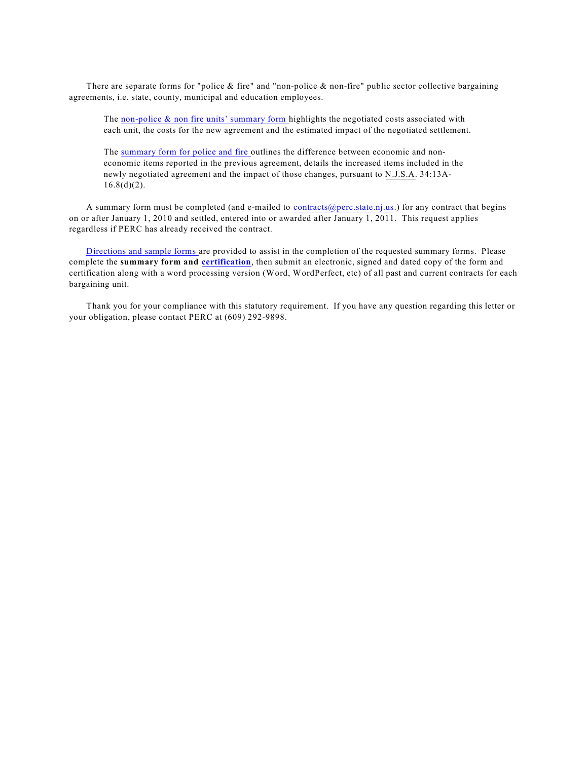There are separate forms for "police  $\&$  fire" and "non-police  $\&$  non-fire" public sector collective bargaining agreements, i.e. state, county, municipal and education employees.

The [non-police](http://www.state.nj.us/perc/Collective_Bargaining_Agreement_Summary_Form_Non-Police_and_Non-Fire_2012.03.28__Form_.pdf)  $\&$  non fire units' summary form highlights the negotiated costs associated with each unit, the costs for the new agreement and the estimated impact of the negotiated settlement.

The [summary](http://www.state.nj.us/perc/Collective_Bargaining_Agreement_Summary_Form_Police_and_Fire_2012.03.21__Form_.pdf) form for police and fire outlines the difference between economic and noneconomic items reported in the previous agreement, details the increased items included in the newly negotiated agreement and the impact of those changes, pursuant to N.J.S.A. 34:13A- $16.8(d)(2)$ .

A summary form must be completed (and e-mailed to [contracts@perc.state.nj.us](mailto:contracts@perc.state.nj.us).) for any contract that begins on or after January 1, 2010 and settled, entered into or awarded after January 1, 2011. This request applies regardless if PERC has already received the contract.

[Directions](http://www.state.nj.us/perc/html/reference.htm) and sample forms are provided to assist in the completion of the requested summary forms. Please complete the **summary form and [certification](http://www.state.nj.us/perc/Collective_Bargaining_Agreement_Certification_2012.04.02.pdf)**, then submit an electronic, signed and dated copy of the form and certification along with a word processing version (Word, WordPerfect, etc) of all past and current contracts for each bargaining unit.

Thank you for your compliance with this statutory requirement. If you have any question regarding this letter or your obligation, please contact PERC at (609) 292-9898.